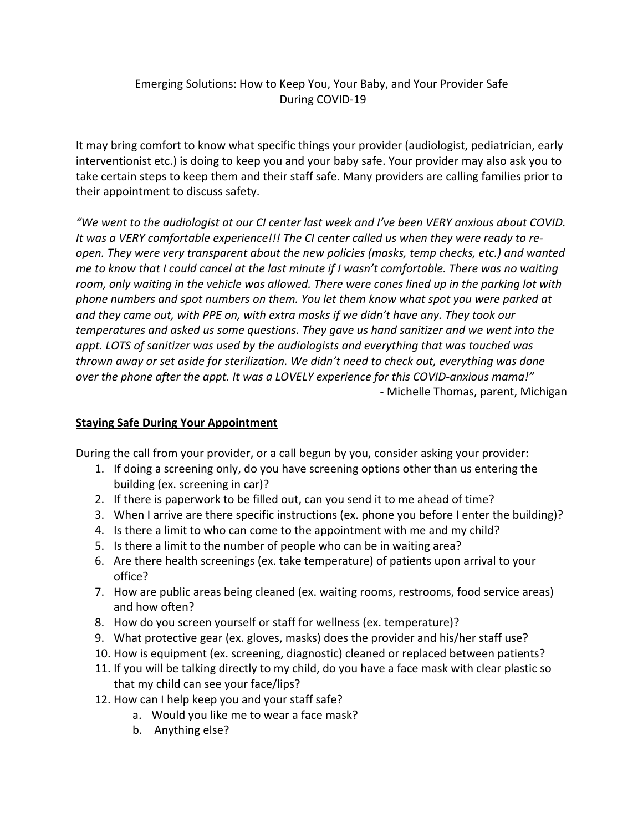## Emerging Solutions: How to Keep You, Your Baby, and Your Provider Safe During COVID-19

It may bring comfort to know what specific things your provider (audiologist, pediatrician, early interventionist etc.) is doing to keep you and your baby safe. Your provider may also ask you to take certain steps to keep them and their staff safe. Many providers are calling families prior to their appointment to discuss safety.

*"We went to the audiologist at our CI center last week and I've been VERY anxious about COVID. It was a VERY comfortable experience!!! The CI center called us when they were ready to reopen. They were very transparent about the new policies (masks, temp checks, etc.) and wanted me to know that I could cancel at the last minute if I wasn't comfortable. There was no waiting room, only waiting in the vehicle was allowed. There were cones lined up in the parking lot with phone numbers and spot numbers on them. You let them know what spot you were parked at and they came out, with PPE on, with extra masks if we didn't have any. They took our temperatures and asked us some questions. They gave us hand sanitizer and we went into the appt. LOTS of sanitizer was used by the audiologists and everything that was touched was thrown away or set aside for sterilization. We didn't need to check out, everything was done over the phone after the appt. It was a LOVELY experience for this COVID-anxious mama!"* - Michelle Thomas, parent, Michigan

## **Staying Safe During Your Appointment**

During the call from your provider, or a call begun by you, consider asking your provider:

- 1. If doing a screening only, do you have screening options other than us entering the building (ex. screening in car)?
- 2. If there is paperwork to be filled out, can you send it to me ahead of time?
- 3. When I arrive are there specific instructions (ex. phone you before I enter the building)?
- 4. Is there a limit to who can come to the appointment with me and my child?
- 5. Is there a limit to the number of people who can be in waiting area?
- 6. Are there health screenings (ex. take temperature) of patients upon arrival to your office?
- 7. How are public areas being cleaned (ex. waiting rooms, restrooms, food service areas) and how often?
- 8. How do you screen yourself or staff for wellness (ex. temperature)?
- 9. What protective gear (ex. gloves, masks) does the provider and his/her staff use?
- 10. How is equipment (ex. screening, diagnostic) cleaned or replaced between patients?
- 11. If you will be talking directly to my child, do you have a face mask with clear plastic so that my child can see your face/lips?
- 12. How can I help keep you and your staff safe?
	- a. Would you like me to wear a face mask?
	- b. Anything else?